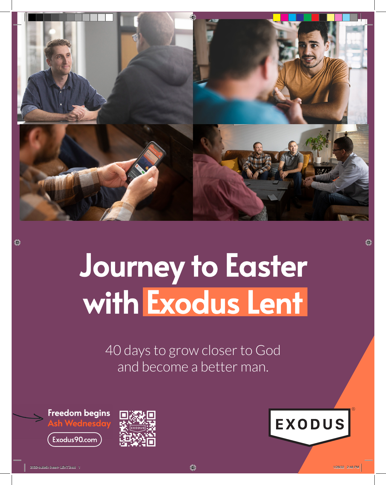

## Journey to Easter with Exodus Lent

40 days to grow closer to God and become a better man.

Freedom begins Exodus90.com





◈

O)